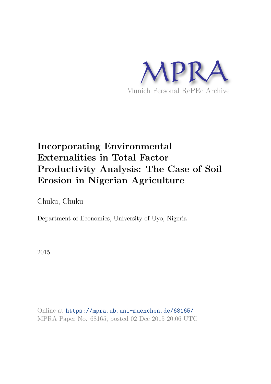

# **Incorporating Environmental Externalities in Total Factor Productivity Analysis: The Case of Soil Erosion in Nigerian Agriculture**

Chuku, Chuku

Department of Economics, University of Uyo, Nigeria

2015

Online at https://mpra.ub.uni-muenchen.de/68165/ MPRA Paper No. 68165, posted 02 Dec 2015 20:06 UTC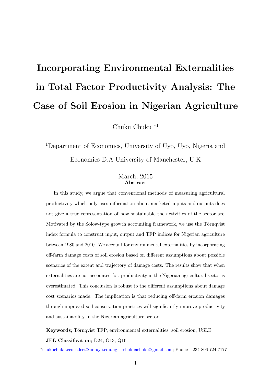# Incorporating Environmental Externalities in Total Factor Productivity Analysis: The Case of Soil Erosion in Nigerian Agriculture

Chuku Chuku <sup>∗</sup><sup>1</sup>

<sup>1</sup>Department of Economics, University of Uyo, Uyo, Nigeria and Economics D.A University of Manchester, U.K

#### March, 2015 Abstract

In this study, we argue that conventional methods of measuring agricultural productivity which only uses information about marketed inputs and outputs does not give a true representation of how sustainable the activities of the sector are. Motivated by the Solow-type growth accounting framework, we use the Törnqvist index formula to construct input, output and TFP indices for Nigerian agriculture between 1980 and 2010. We account for environmental externalities by incorporating off-farm damage costs of soil erosion based on different assumptions about possible scenarios of the extent and trajectory of damage costs. The results show that when externalities are not accounted for, productivity in the Nigerian agricultural sector is overestimated. This conclusion is robust to the different assumptions about damage cost scenarios made. The implication is that reducing off-farm erosion damages through improved soil conservation practices will significantly improve productivity and sustainability in the Nigerian agriculture sector.

Keywords; Törnqvist TFP, environmental externalities, soil erosion, USLE

JEL Classification; D24, O13, Q16

<sup>∗</sup> chukuchuku.econs.lect@uniuyo.edu.ng chukuachuku@gmail.com; Phone +234 806 724 7177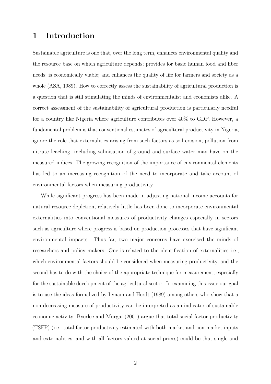# 1 Introduction

Sustainable agriculture is one that, over the long term, enhances environmental quality and the resource base on which agriculture depends; provides for basic human food and fiber needs; is economically viable; and enhances the quality of life for farmers and society as a whole (ASA, 1989). How to correctly assess the sustainability of agricultural production is a question that is still stimulating the minds of environmentalist and economists alike. A correct assessment of the sustainability of agricultural production is particularly needful for a country like Nigeria where agriculture contributes over 40% to GDP. However, a fundamental problem is that conventional estimates of agricultural productivity in Nigeria, ignore the role that externalities arising from such factors as soil erosion, pollution from nitrate leaching, including salinisation of ground and surface water may have on the measured indices. The growing recognition of the importance of environmental elements has led to an increasing recognition of the need to incorporate and take account of environmental factors when measuring productivity.

While significant progress has been made in adjusting national income accounts for natural resource depletion, relatively little has been done to incorporate environmental externalities into conventional measures of productivity changes especially in sectors such as agriculture where progress is based on production processes that have significant environmental impacts. Thus far, two major concerns have exercised the minds of researchers and policy makers. One is related to the identification of externalities i.e., which environmental factors should be considered when measuring productivity, and the second has to do with the choice of the appropriate technique for measurement, especially for the sustainable development of the agricultural sector. In examining this issue our goal is to use the ideas formalized by Lynam and Herdt (1989) among others who show that a non-decreasing measure of productivity can be interpreted as an indicator of sustainable economic activity. Byerlee and Murgai (2001) argue that total social factor productivity (TSFP) (i.e., total factor productivity estimated with both market and non-market inputs and externalities, and with all factors valued at social prices) could be that single and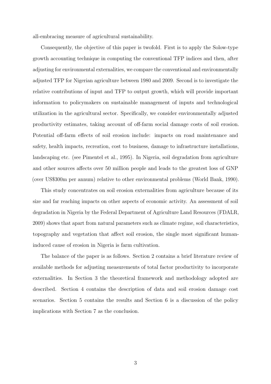all-embracing measure of agricultural sustainability.

Consequently, the objective of this paper is twofold. First is to apply the Solow-type growth accounting technique in computing the conventional TFP indices and then, after adjusting for environmental externalities, we compare the conventional and environmentally adjusted TFP for Nigerian agriculture between 1980 and 2009. Second is to investigate the relative contributions of input and TFP to output growth, which will provide important information to policymakers on sustainable management of inputs and technological utilization in the agricultural sector. Specifically, we consider environmentally adjusted productivity estimates, taking account of off-farm social damage costs of soil erosion. Potential off-farm effects of soil erosion include: impacts on road maintenance and safety, health impacts, recreation, cost to business, damage to infrastructure installations, landscaping etc. (see Pimentel et al., 1995). In Nigeria, soil degradation from agriculture and other sources affects over 50 million people and leads to the greatest loss of GNP (over US\$300m per annum) relative to other environmental problems (World Bank, 1990).

This study concentrates on soil erosion externalities from agriculture because of its size and far reaching impacts on other aspects of economic activity. An assessment of soil degradation in Nigeria by the Federal Department of Agriculture Land Resources (FDALR, 2009) shows that apart from natural parameters such as climate regime, soil characteristics, topography and vegetation that affect soil erosion, the single most significant humaninduced cause of erosion in Nigeria is farm cultivation.

The balance of the paper is as follows. Section 2 contains a brief literature review of available methods for adjusting measurements of total factor productivity to incorporate externalities. In Section 3 the theoretical framework and methodology adopted are described. Section 4 contains the description of data and soil erosion damage cost scenarios. Section 5 contains the results and Section 6 is a discussion of the policy implications with Section 7 as the conclusion.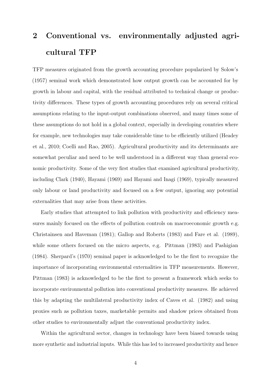# 2 Conventional vs. environmentally adjusted agricultural TFP

TFP measures originated from the growth accounting procedure popularized by Solow's (1957) seminal work which demonstrated how output growth can be accounted for by growth in labour and capital, with the residual attributed to technical change or productivity differences. These types of growth accounting procedures rely on several critical assumptions relating to the input-output combinations observed, and many times some of these assumptions do not hold in a global context, especially in developing countries where for example, new technologies may take considerable time to be efficiently utilized (Headey et al., 2010; Coelli and Rao, 2005). Agricultural productivity and its determinants are somewhat peculiar and need to be well understood in a different way than general economic productivity. Some of the very first studies that examined agricultural productivity, including Clark (1940), Hayami (1969) and Hayami and Inagi (1969), typically measured only labour or land productivity and focused on a few output, ignoring any potential externalities that may arise from these activities.

Early studies that attempted to link pollution with productivity and efficiency measures mainly focused on the effects of pollution controls on macroeconomic growth e.g. Christainsen and Haveman (1981); Gallop and Roberts (1983) and Fare et al. (1989), while some others focused on the micro aspects, e.g. Pittman (1983) and Pashigian (1984). Sherpard's (1970) seminal paper is acknowledged to be the first to recognize the importance of incorporating environmental externalities in TFP measurements. However, Pittman (1983) is acknowledged to be the first to present a framework which seeks to incorporate environmental pollution into conventional productivity measures. He achieved this by adapting the multilateral productivity index of Caves et al. (1982) and using proxies such as pollution taxes, marketable permits and shadow prices obtained from other studies to environmentally adjust the conventional productivity index.

Within the agricultural sector, changes in technology have been biased towards using more synthetic and industrial inputs. While this has led to increased productivity and hence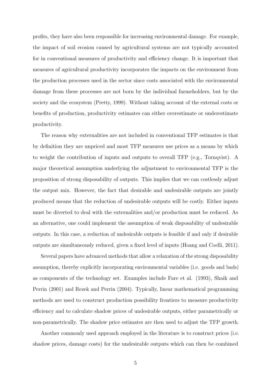profits, they have also been responsible for increasing environmental damage. For example, the impact of soil erosion caused by agricultural systems are not typically accounted for in conventional measures of productivity and efficiency change. It is important that measures of agricultural productivity incorporates the impacts on the environment from the production processes used in the sector since costs associated with the environmental damage from these processes are not born by the individual farmeholders, but by the society and the ecosystem (Pretty, 1999). Without taking account of the external costs or benefits of production, productivity estimates can either overestimate or underestimate productivity.

The reason why externalities are not included in conventional TFP estimates is that by definition they are unpriced and most TFP measures use prices as a means by which to weight the contribution of inputs and outputs to overall TFP (e.g., Tornqvist). A major theoretical assumption underlying the adjustment to environmental TFP is the proposition of strong disposability of outputs. This implies that we can costlessly adjust the output mix. However, the fact that desirable and undesirable outputs are jointly produced means that the reduction of undesirable outputs will be costly. Either inputs must be diverted to deal with the externalities and/or production must be reduced. As an alternative, one could implement the assumption of weak disposability of undesirable outputs. In this case, a reduction of undesirable outputs is feasible if and only if desirable outputs are simultaneously reduced, given a fixed level of inputs (Hoang and Coelli, 2011).

Several papers have advanced methods that allow a relaxation of the strong disposability assumption, thereby explicitly incorporating environmental variables (i.e. goods and bads) as components of the technology set. Examples include Fare et al. (1993), Shaik and Perrin (2001) and Rezek and Perrin (2004). Typically, linear mathematical programming methods are used to construct production possibility frontiers to measure productivity efficiency and to calculate shadow prices of undesirable outputs, either parametrically or non-parametrically. The shadow price estimates are then used to adjust the TFP growth.

Another commonly used approach employed in the literature is to construct prices (i.e. shadow prices, damage costs) for the undesirable outputs which can then be combined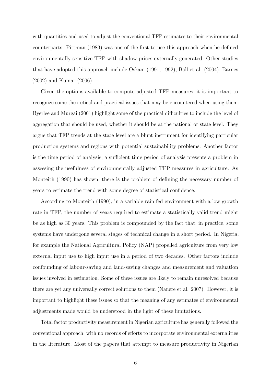with quantities and used to adjust the conventional TFP estimates to their environmental counterparts. Pittman (1983) was one of the first to use this approach when he defined environmentally sensitive TFP with shadow prices externally generated. Other studies that have adopted this approach include Oskam (1991, 1992), Ball et al. (2004), Barnes (2002) and Kumar (2006).

Given the options available to compute adjusted TFP measures, it is important to recognize some theoretical and practical issues that may be encountered when using them. Byerlee and Murgai (2001) highlight some of the practical difficulties to include the level of aggregation that should be used, whether it should be at the national or state level. They argue that TFP trends at the state level are a blunt instrument for identifying particular production systems and regions with potential sustainability problems. Another factor is the time period of analysis, a sufficient time period of analysis presents a problem in assessing the usefulness of environmentally adjusted TFP measures in agriculture. As Monteith (1990) has shown, there is the problem of defining the necessary number of years to estimate the trend with some degree of statistical confidence.

According to Monteith (1990), in a variable rain fed environment with a low growth rate in TFP, the number of years required to estimate a statistically valid trend might be as high as 30 years. This problem is compounded by the fact that, in practice, some systems have undergone several stages of technical change in a short period. In Nigeria, for example the National Agricultural Policy (NAP) propelled agriculture from very low external input use to high input use in a period of two decades. Other factors include confounding of labour-saving and land-saving changes and measurement and valuation issues involved in estimation. Some of these issues are likely to remain unresolved because there are yet any universally correct solutions to them (Nanere et al. 2007). However, it is important to highlight these issues so that the meaning of any estimates of environmental adjustments made would be understood in the light of these limitations.

Total factor productivity measurement in Nigerian agriculture has generally followed the conventional approach, with no records of efforts to incorporate environmental externalities in the literature. Most of the papers that attempt to measure productivity in Nigerian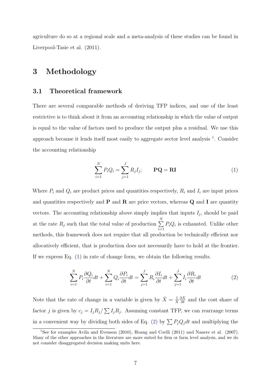agriculture do so at a regional scale and a meta-analysis of these studies can be found in Liverpool-Tasie et al. (2011).

## 3 Methodology

#### 3.1 Theoretical framework

There are several comparable methods of deriving TFP indices, and one of the least restrictive is to think about it from an accounting relationship in which the value of output is equal to the value of factors used to produce the output plus a residual. We use this approach because it lends itself most easily to aggregate sector level analysis <sup>1</sup>. Consider the accounting relationship

$$
\sum_{i=1}^{N} P_i Q_i = \sum_{j=1}^{J} R_j I_j; \qquad \mathbf{PQ} = \mathbf{RI}
$$
 (1)

Where  $P_i$  and  $Q_i$  are product prices and quantities respectively,  $R_i$  and  $I_i$  are input prices and quantities respectively and  $P$  and  $R$  are price vectors, whereas  $Q$  and  $I$  are quantity vectors. The accounting relationship above simply implies that inputs  $I_j$ , should be paid at the rate  $R_j$  such that the total value of production  $\Sigma$ N  $i=1$  $P_iQ_i$  is exhausted. Unlike other methods, this framework does not require that all production be technically efficient nor allocatively efficient, that is production does not necessarily have to hold at the frontier. If we express Eq. (1) in rate of change form, we obtain the following results.

$$
\sum_{i=1}^{N} P_i \frac{\partial Q_i}{\partial t} dt + \sum_{i=1}^{N} Q_i \frac{\partial P_i}{\partial t} dt = \sum_{j=1}^{J} R_i \frac{\partial I_i}{\partial t} dt + \sum_{j=1}^{J} I_i \frac{\partial R_i}{\partial t} dt \tag{2}
$$

Note that the rate of change in a variable is given by  $\dot{X} = \frac{1}{X}$ X  $\frac{\partial X}{\partial t}$  and the cost share of factor j is given by  $c_j = I_j R_j / \sum I_j R_j$ . Assuming constant TFP, we can rearrange terms in a convenient way by dividing both sides of Eq. (2) by  $\sum P_iQ_jdt$  and multiplying the

<sup>&</sup>lt;sup>1</sup>See for examples Avila and Evenson (2010), Hoang and Coelli (2011) and Nanere et al. (2007). Many of the other approaches in the literature are more suited for firm or farm level analysis, and we do not consider disaggregated decision making units here.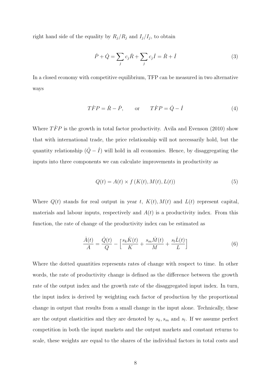right hand side of the equality by  $R_j/R_j$  and  $I_j/I_j$ , to obtain

$$
\dot{P} + \dot{Q} = \sum_{j} c_j \dot{R} + \sum_{j} c_j \dot{I} = \dot{R} + \dot{I}
$$
\n(3)

In a closed economy with competitive equilibrium, TFP can be measured in two alternative ways

$$
\dot{T}\dot{F}P = \dot{R} - \dot{P}, \qquad \text{or} \qquad \dot{T}\dot{F}P = \dot{Q} - \dot{I} \tag{4}
$$

Where  $\hat{TFP}$  is the growth in total factor productivity. Avila and Evenson (2010) show that with international trade, the price relationship will not necessarily hold, but the quantity relationship  $(\dot{Q} - \dot{I})$  will hold in all economies. Hence, by disaggregating the inputs into three components we can calculate improvements in productivity as

$$
Q(t) = A(t) \times f(K(t), M(t), L(t))
$$
\n
$$
(5)
$$

Where  $Q(t)$  stands for real output in year t,  $K(t)$ ,  $M(t)$  and  $L(t)$  represent capital, materials and labour inputs, respectively and  $A(t)$  is a productivity index. From this function, the rate of change of the productivity index can be estimated as

$$
\frac{\dot{A}(t)}{A} = \frac{\dot{Q}(t)}{Q} - \left[\frac{s_k \dot{K}(t)}{K} + \frac{s_m \dot{M}(t)}{M} + \frac{s_l \dot{L}(t)}{L}\right]
$$
(6)

Where the dotted quantities represents rates of change with respect to time. In other words, the rate of productivity change is defined as the difference between the growth rate of the output index and the growth rate of the disaggregated input index. In turn, the input index is derived by weighting each factor of production by the proportional change in output that results from a small change in the input alone. Technically, these are the output elasticities and they are denoted by  $s_k$ ,  $s_m$  and  $s_l$ . If we assume perfect competition in both the input markets and the output markets and constant returns to scale, these weights are equal to the shares of the individual factors in total costs and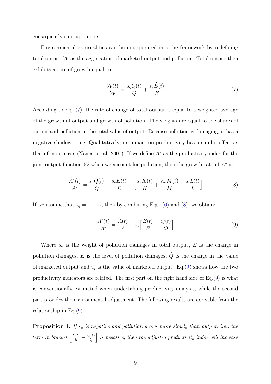consequently sum up to one.

Environmental externalities can be incorporated into the framework by redefining total output  $W$  as the aggregation of marketed output and pollution. Total output then exhibits a rate of growth equal to:

$$
\frac{\dot{W}(t)}{\mathcal{W}} = \frac{s_q \dot{Q}(t)}{Q} + \frac{s_e \dot{E}(t)}{E} \tag{7}
$$

According to Eq. (7), the rate of change of total output is equal to a weighted average of the growth of output and growth of pollution. The weights are equal to the shares of output and pollution in the total value of output. Because pollution is damaging, it has a negative shadow price. Qualitatively, its impact on productivity has a similar effect as that of input costs (Nanere et al. 2007). If we define  $A^*$  as the productivity index for the joint output function W when we account for pollution, then the growth rate of  $A^*$  is:

$$
\frac{\dot{A}^*(t)}{A^*} = \frac{s_q \dot{Q}(t)}{Q} + \frac{s_e \dot{E}(t)}{E} - \left[\frac{s_k \dot{K}(t)}{K} + \frac{s_m \dot{M}(t)}{M} + \frac{s_l \dot{L}(t)}{L}\right]
$$
(8)

If we assume that  $s_q = 1 - s_e$ , then by combining Eqs. (6) and (8), we obtain:

$$
\frac{\dot{A}^*(t)}{A^*} = \frac{\dot{A}(t)}{A} + s_e \left[ \frac{\dot{E}(t)}{E} - \frac{\dot{Q}(t)}{Q} \right]
$$
(9)

Where  $s_e$  is the weight of pollution damages in total output,  $\dot{E}$  is the change in pollution damages, E is the level of pollution damages,  $\dot{Q}$  is the change in the value of marketed output and Q is the value of marketed output. Eq.(9) shows how the two productivity indicators are related. The first part on the right hand side of Eq.(9) is what is conventionally estimated when undertaking productivity analysis, while the second part provides the environmental adjustment. The following results are derivable from the relationship in Eq.(9)

**Proposition 1.** If  $s_e$  is negative and pollution grows more slowly than output, i.e., the term in bracket  $\left[\frac{\dot{E}(t)}{E} - \frac{\dot{Q}(t)}{Q}\right]$  $\left\lceil \frac{\Omega(t)}{Q} \right\rceil$  is negative, then the adjusted productivity index will increase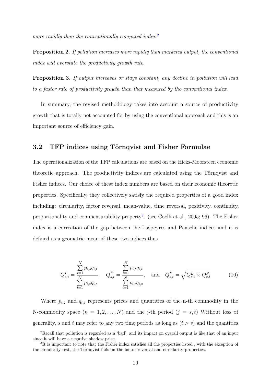more rapidly than the conventionally computed index.<sup>2</sup>

**Proposition 2.** If pollution increases more rapidly than marketed output, the conventional index will overstate the productivity growth rate.

Proposition 3. If output increases or stays constant, any decline in pollution will lead to a faster rate of productivity growth than that measured by the conventional index.

In summary, the revised methodology takes into account a source of productivity growth that is totally not accounted for by using the conventional approach and this is an important source of efficiency gain.

#### 3.2 TFP indices using Törnqvist and Fisher Formulae

The operationalization of the TFP calculations are based on the Hicks-Moorsteen economic theoretic approach. The productivity indices are calculated using the Törnqvist and Fisher indices. Our choice of these index numbers are based on their economic theoretic properties. Specifically, they collectively satisfy the required properties of a good index including: circularity, factor reversal, mean-value, time reversal, positivity, continuity, proportionality and commensurability property<sup>3</sup>. (see Coelli et al., 2005; 96). The Fisher index is a correction of the gap between the Laspeyres and Paasche indices and it is defined as a geometric mean of these two indices thus

$$
Q_{s,t}^{L} = \frac{\sum_{i=1}^{N} p_{i,s} q_{i,t}}{\sum_{i=1}^{N} p_{i,s} q_{i,s}}, \quad Q_{s,t}^{P} = \frac{\sum_{i=1}^{N} p_{i,t} q_{i,t}}{\sum_{i=1}^{N} p_{i,t} q_{i,s}}, \quad \text{and} \quad Q_{s,t}^{F} = \sqrt{Q_{s,t}^{L} \times Q_{s,t}^{P}}
$$
(10)

Where  $p_{i,j}$  and  $q_{i,j}$  represents prices and quantities of the n-th commodity in the N-commodity space  $(n = 1, 2, ..., N)$  and the j-th period  $(j = s, t)$  Without loss of generality, s and t may refer to any two time periods as long as  $(t > s)$  and the quantities

<sup>2</sup>Recall that pollution is regarded as a 'bad', and its impact on overall output is like that of an input since it will have a negative shadow price.

<sup>&</sup>lt;sup>3</sup>It is important to note that the Fisher index satisfies all the properties listed, with the exception of the circularity test, the Törnqvist fails on the factor reversal and circularity properties.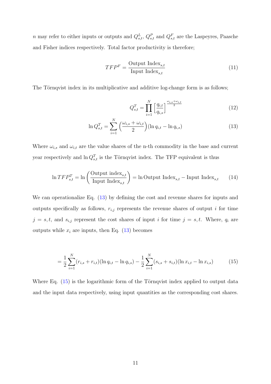n may refer to either inputs or outputs and  $Q_{s,t}^L$ ,  $Q_{s,t}^P$  and  $Q_{s,t}^F$  are the Laspeyres, Paasche and Fisher indices respectively. Total factor productivity is therefore;

$$
TFP^F = \frac{\text{Output Index}_{s,t}}{\text{Input Index}_{s,t}} \tag{11}
$$

The Törnqvist index in its multiplicative and additive log-change form is as follows;

$$
Q_{s,t}^T = \prod_{i=1}^N \left[ \frac{q_{i,t}}{q_{i,s}} \right]^{\frac{\omega_{i,s} + \omega_{i,t}}{2}}
$$
(12)

$$
\ln Q_{s,t}^T = \sum_{i=1}^N \left( \frac{\omega_{i,s} + \omega_{i,t}}{2} \right) (\ln q_{i,t} - \ln q_{i,s})
$$
\n(13)

Where  $\omega_{i,s}$  and  $\omega_{i,t}$  are the value shares of the n-th commodity in the base and current year respectively and  $\ln Q_{s,t}^T$  is the Törnqvist index. The TFP equivalent is thus

$$
\ln TFP_{s,t}^T = \ln \left( \frac{\text{Output index}_{s,t}}{\text{Input Index}_{s,t}} \right) = \ln \text{Output Index}_{s,t} - \text{Input Index}_{s,t} \tag{14}
$$

We can operationalize Eq.  $(13)$  by defining the cost and revenue shares for inputs and outputs specifically as follows,  $r_{i,j}$  represents the revenue shares of output i for time  $j = s, t$ , and  $s_{i,j}$  represent the cost shares of input i for time  $j = s, t$ . Where,  $q_i$  are outputs while  $x_i$  are inputs, then Eq. (13) becomes

$$
= \frac{1}{2} \sum_{i=1}^{N} (r_{i,s} + r_{i,t}) (\ln q_{i,t} - \ln q_{i,s}) - \frac{1}{2} \sum_{i=1}^{N} (s_{i,s} + s_{i,t}) (\ln x_{i,t} - \ln x_{i,s}) \tag{15}
$$

Where Eq.  $(15)$  is the logarithmic form of the Törnqvist index applied to output data and the input data respectively, using input quantities as the corresponding cost shares.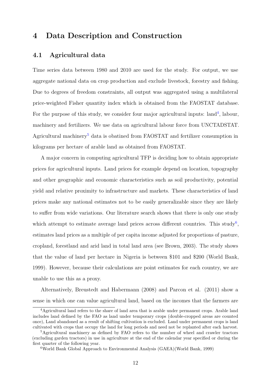# 4 Data Description and Construction

#### 4.1 Agricultural data

Time series data between 1980 and 2010 are used for the study. For output, we use aggregate national data on crop production and exclude livestock, forestry and fishing. Due to degrees of freedom constraints, all output was aggregated using a multilateral price-weighted Fisher quantity index which is obtained from the FAOSTAT database. For the purpose of this study, we consider four major agricultural inputs:  $land<sup>4</sup>$ , labour, machinery and fertilizers. We use data on agricultural labour force from UNCTADSTAT. Agricultural machinery<sup>5</sup> data is obatined from FAOSTAT and fertilizer consumption in kilograms per hectare of arable land as obtained from FAOSTAT.

A major concern in computing agricultural TFP is deciding how to obtain appropriate prices for agricultural inputs. Land prices for example depend on location, topography and other geographic and economic characteristics such as soil productivity, potential yield and relative proximity to infrastructure and markets. These characteristics of land prices make any national estimates not to be easily generalizable since they are likely to suffer from wide variations. Our literature search shows that there is only one study which attempt to estimate average land prices across different countries. This study<sup>6</sup>, estimates land prices as a multiple of per capita income adjusted for proportions of pasture, cropland, forestland and arid land in total land area (see Brown, 2003). The study shows that the value of land per hectare in Nigeria is between \$101 and \$200 (World Bank, 1999). However, because their calculations are point estimates for each country, we are unable to use this as a proxy.

Alternatively, Breustedt and Habermann (2008) and Parcon et al. (2011) show a sense in which one can value agricultural land, based on the incomes that the farmers are

<sup>4</sup>Agricultural land refers to the share of land area that is arable under permanent crops. Arable land includes land defined by the FAO as land under temporary crops (double-cropped areas are counted once), Land abandoned as a result of shifting cultivation is excluded. Land under permanent crops is land cultivated with crops that occupy the land for long periods and need not be replanted after each harvest.

<sup>5</sup>Agricultural machinery as defined by FAO refers to the number of wheel and crawler tractors (excluding garden tractors) in use in agriculture at the end of the calendar year specified or during the first quarter of the following year.

<sup>6</sup>World Bank Global Approach to Environmental Analysis (GAEA)(World Bank, 1999)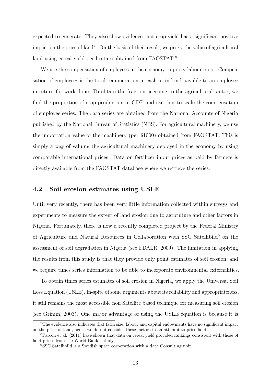expected to generate. They also show evidence that crop yield has a significant positive impact on the price of land<sup>7</sup>. On the basis of their result, we proxy the value of agricultural land using cereal yield per hectare obtained from FAOSTAT.<sup>8</sup>

We use the compensation of employees in the economy to proxy labour costs. Compensation of employees is the total remuneration in cash or in kind payable to an employee in return for work done. To obtain the fraction accruing to the agricultural sector, we find the proportion of crop production in GDP and use that to scale the compensation of employee series. The data series are obtained from the National Accounts of Nigeria published by the National Bureau of Statistics (NBS). For agricultural machinery, we use the importation value of the machinery (per \$1000) obtained from FAOSTAT. This is simply a way of valuing the agricultural machinery deployed in the economy by using comparable international prices. Data on fertilizer input prices as paid by farmers is directly available from the FAOSTAT database where we retrieve the series.

#### 4.2 Soil erosion estimates using USLE

Until very recently, there has been very little information collected within surveys and experiments to measure the extent of land erosion due to agriculture and other factors in Nigeria. Fortunately, there is now a recently completed project by the Federal Ministry of Agriculture and Natural Resources in Collaboration with SSC Satellibild<sup>9</sup> on the assessment of soil degradation in Nigeria (see FDALR, 2009). The limitation in applying the results from this study is that they provide only point estimates of soil erosion, and we require times series information to be able to incorporate environmental externalities.

To obtain times series estimates of soil erosion in Nigeria, we apply the Universal Soil Loss Equation (USLE). In-spite of some arguments about its reliability and appropriateness, it still remains the most accessible non Satellite based technique for measuring soil erosion (see Grimm, 2003). One major advantage of using the USLE equation is because it is

<sup>7</sup>The evidence also indicates that farm size, labour and capital endowments have no significant impact on the price of land, hence we do not consider these factors in an attempt to price land.

<sup>8</sup>Parcon et al. (2011) have shown that data on cereal yield provided rankings consistent with those of land prices from the World Bank's study.

<sup>9</sup>SSC Satellibild is a Swedish space corporation with a data Consulting unit.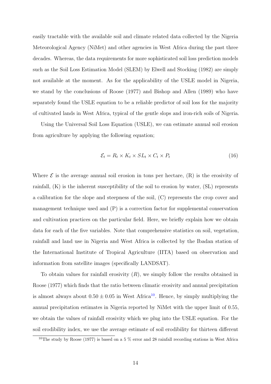easily tractable with the available soil and climate related data collected by the Nigeria Meteorological Agency (NiMet) and other agencies in West Africa during the past three decades. Whereas, the data requirements for more sophisticated soil loss prediction models such as the Soil Loss Estimation Model (SLEM) by Elwell and Stocking (1982) are simply not available at the moment. As for the applicability of the USLE model in Nigeria, we stand by the conclusions of Roose (1977) and Bishop and Allen (1989) who have separately found the USLE equation to be a reliable predictor of soil loss for the majority of cultivated lands in West Africa, typical of the gentle slops and iron-rich soils of Nigeria.

Using the Universal Soil Loss Equation (USLE), we can estimate annual soil erosion from agriculture by applying the following equation;

$$
\mathcal{E}_t = R_t \times K_t \times SL_t \times C_t \times P_t \tag{16}
$$

Where  $\mathcal E$  is the average annual soil erosion in tons per hectare,  $(R)$  is the erosivity of rainfall, (K) is the inherent susceptibility of the soil to erosion by water, (SL) represents a calibration for the slope and steepness of the soil, (C) represents the crop cover and management technique used and (P) is a correction factor for supplemental conservation and cultivation practices on the particular field. Here, we briefly explain how we obtain data for each of the five variables. Note that comprehensive statistics on soil, vegetation, rainfall and land use in Nigeria and West Africa is collected by the Ibadan station of the International Institute of Tropical Agriculture (IITA) based on observation and information from satellite images (specifically LANDSAT).

To obtain values for rainfall erosivity  $(R)$ , we simply follow the results obtained in Roose (1977) which finds that the ratio between climatic erosivity and annual precipitation is almost always about  $0.50 \pm 0.05$  in West Africa<sup>10</sup>. Hence, by simply multiplying the annual precipitation estimates in Nigeria reported by NiMet with the upper limit of 0.55, we obtain the values of rainfall erosivity which we plug into the USLE equation. For the soil erodibility index, we use the average estimate of soil erodibility for thirteen different

<sup>&</sup>lt;sup>10</sup>The study by Roose (1977) is based on a 5  $\%$  error and 28 rainfall recording stations in West Africa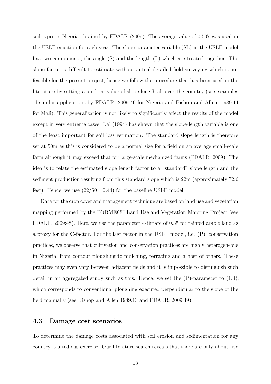soil types in Nigeria obtained by FDALR (2009). The average value of 0.507 was used in the USLE equation for each year. The slope parameter variable (SL) in the USLE model has two components, the angle (S) and the length (L) which are treated together. The slope factor is difficult to estimate without actual detailed field surveying which is not feasible for the present project, hence we follow the procedure that has been used in the literature by setting a uniform value of slope length all over the country (see examples of similar applications by FDALR, 2009:46 for Nigeria and Bishop and Allen, 1989:11 for Mali). This generalization is not likely to significantly affect the results of the model except in very extreme cases. Lal (1994) has shown that the slope-length variable is one of the least important for soil loss estimation. The standard slope length is therefore set at 50m as this is considered to be a normal size for a field on an average small-scale farm although it may exceed that for large-scale mechanized farms (FDALR, 2009). The idea is to relate the estimated slope length factor to a "standard" slope length and the sediment production resulting from this standard slope which is 22m (approximately 72.6 feet). Hence, we use  $(22/50=0.44)$  for the baseline USLE model.

Data for the crop cover and management technique are based on land use and vegetation mapping performed by the FORMECU Land Use and Vegetation Mapping Project (see FDALR, 2009:48). Here, we use the parameter estimate of 0.35 for rainfed arable land as a proxy for the C-factor. For the last factor in the USLE model, i.e. (P), conservation practices, we observe that cultivation and conservation practices are highly heterogeneous in Nigeria, from contour ploughing to mulching, terracing and a host of others. These practices may even vary between adjacent fields and it is impossible to distinguish such detail in an aggregated study such as this. Hence, we set the  $(P)$ -parameter to  $(1.0)$ , which corresponds to conventional ploughing executed perpendicular to the slope of the field manually (see Bishop and Allen 1989:13 and FDALR, 2009:49).

#### 4.3 Damage cost scenarios

To determine the damage costs associated with soil erosion and sedimentation for any country is a tedious exercise. Our literature search reveals that there are only about five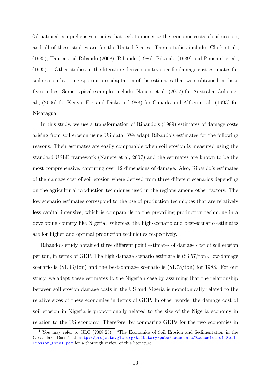(5) national comprehensive studies that seek to monetize the economic costs of soil erosion, and all of these studies are for the United States. These studies include: Clark et al., (1985); Hansen and Ribaudo (2008), Ribaudo (1986), Ribaudo (1989) and Pimentel et al.,  $(1995).$ <sup>11</sup> Other studies in the literature derive country specific damage cost estimates for soil erosion by some appropriate adaptation of the estimates that were obtained in these five studies. Some typical examples include. Nanere et al. (2007) for Australia, Cohen et al., (2006) for Kenya, Fox and Dickson (1988) for Canada and Alfsen et al. (1993) for Nicaragua.

In this study, we use a transformation of Ribaudo's (1989) estimates of damage costs arising from soil erosion using US data. We adapt Ribaudo's estimates for the following reasons. Their estimates are easily comparable when soil erosion is measured using the standard USLE framework (Nanere et al, 2007) and the estimates are known to be the most comprehensive, capturing over 12 dimensions of damage. Also, Ribaudo's estimates of the damage cost of soil erosion where derived from three different scenarios depending on the agricultural production techniques used in the regions among other factors. The low scenario estimates correspond to the use of production techniques that are relatively less capital intensive, which is comparable to the prevailing production technique in a developing country like Nigeria. Whereas, the high-scenario and best-scenario estimates are for higher and optimal production techniques respectively.

Ribaudo's study obtained three different point estimates of damage cost of soil erosion per ton, in terms of GDP. The high damage scenario estimate is (\$3.57/ton), low-damage scenario is (\$1.03/ton) and the best-damage scenario is (\$1.78/ton) for 1988. For our study, we adapt these estimates to the Nigerian case by assuming that the relationship between soil erosion damage costs in the US and Nigeria is monotonically related to the relative sizes of these economies in terms of GDP. In other words, the damage cost of soil erosion in Nigeria is proportionally related to the size of the Nigeria economy in relation to the US economy. Therefore, by comparing GDPs for the two economies in

 $11$ You may refer to GLC (2008:25). "The Economics of Soil Erosion and Sedimentation in the Great lake Basin" at http://projects.glc.org/tributary/pubs/documents/Economics\_of\_Soil\_ Erosion\_Final.pdf for a thorough review of this literature.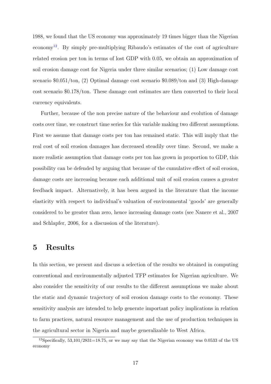1988, we found that the US economy was approximately 19 times bigger than the Nigerian economy<sup>12</sup>. By simply pre-multiplying Ribaudo's estimates of the cost of agriculture related erosion per ton in terms of lost GDP with 0.05, we obtain an approximation of soil erosion damage cost for Nigeria under three similar scenarios; (1) Low damage cost scenario \$0.051/ton, (2) Optimal damage cost scenario \$0.089/ton and (3) High-damage cost scenario \$0.178/ton. These damage cost estimates are then converted to their local currency equivalents.

Further, because of the non precise nature of the behaviour and evolution of damage costs over time, we construct time series for this variable making two different assumptions. First we assume that damage costs per ton has remained static. This will imply that the real cost of soil erosion damages has decreased steadily over time. Second, we make a more realistic assumption that damage costs per ton has grown in proportion to GDP, this possibility can be defended by arguing that because of the cumulative effect of soil erosion, damage costs are increasing because each additional unit of soil erosion causes a greater feedback impact. Alternatively, it has been argued in the literature that the income elasticity with respect to individual's valuation of environmental 'goods' are generally considered to be greater than zero, hence increasing damage costs (see Nanere et al., 2007 and Schlapfer, 2006, for a discussion of the literature).

## 5 Results

In this section, we present and discuss a selection of the results we obtained in computing conventional and environmentally adjusted TFP estimates for Nigerian agriculture. We also consider the sensitivity of our results to the different assumptions we make about the static and dynamic trajectory of soil erosion damage costs to the economy. These sensitivity analysis are intended to help generate important policy implications in relation to farm practices, natural resource management and the use of production techniques in the agricultural sector in Nigeria and maybe generalizable to West Africa.

<sup>&</sup>lt;sup>12</sup>Specifically, 53,101/2831=18.75, or we may say that the Nigerian economy was 0.0533 of the US economy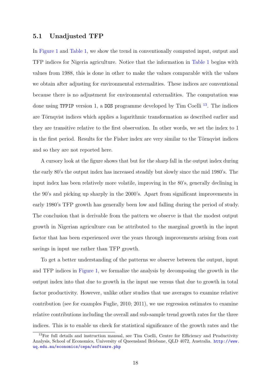#### 5.1 Unadjusted TFP

In Figure 1 and Table 1, we show the trend in conventionally computed input, output and TFP indices for Nigeria agriculture. Notice that the information in Table 1 begins with values from 1988, this is done in other to make the values comparable with the values we obtain after adjusting for environmental externalities. These indices are conventional because there is no adjustment for environmental externalities. The computation was done using TFPIP version 1, a DOS programme developed by Tim Coelli<sup>13</sup>. The indices are Törnqvist indices which applies a logarithmic transformation as described earlier and they are transitive relative to the first observation. In other words, we set the index to 1 in the first period. Results for the Fisher index are very similar to the Törnqvist indices and so they are not reported here.

A cursory look at the figure shows that but for the sharp fall in the output index during the early 80's the output index has increased steadily but slowly since the mid 1980's. The input index has been relatively more volatile, improving in the 80's, generally declining in the 90's and picking up sharply in the 2000's. Apart from significant improvements in early 1980's TFP growth has generally been low and falling during the period of study. The conclusion that is derivable from the pattern we observe is that the modest output growth in Nigerian agriculture can be attributed to the marginal growth in the input factor that has been experienced over the years through improvements arising from cost savings in input use rather than TFP growth.

To get a better understanding of the patterns we observe between the output, input and TFP indices in Figure 1, we formalize the analysis by decomposing the growth in the output index into that due to growth in the input use versus that due to growth in total factor productivity. However, unlike other studies that use averages to examine relative contribution (see for examples Fuglie, 2010; 2011), we use regression estimates to examine relative contributions including the overall and sub-sample trend growth rates for the three indices. This is to enable us check for statistical significance of the growth rates and the

<sup>&</sup>lt;sup>13</sup>For full details and instruction manual, see Tim Coelli, Centre for Efficiency and Productivity Analysis, School of Economics, University of Queensland Brisbane, QLD 4072, Australia. http://www. uq.edu.au/economics/cepa/software.php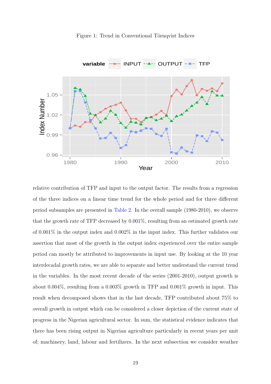



relative contribution of TFP and input to the output factor. The results from a regression of the three indices on a linear time trend for the whole period and for three different period subsamples are presented in Table 2. In the overall sample (1980-2010), we observe that the growth rate of TFP decreased by 0.001%, resulting from an estimated growth rate of 0.001% in the output index and 0.002% in the input index. This further validates our assertion that most of the growth in the output index experienced over the entire sample period can mostly be attributed to improvements in input use. By looking at the 10 year interdecadal growth rates, we are able to separate and better understand the current trend in the variables. In the most recent decade of the series (2001-2010), output growth is about 0.004%, resulting from a 0.003% growth in TFP and 0.001% growth in input. This result when decomposed shows that in the last decade, TFP contributed about 75% to overall growth in output which can be considered a closer depiction of the current state of progress in the Nigerian agricultural sector. In sum, the statistical evidence indicates that there has been rising output in Nigerian agriculture particularly in recent years per unit of; machinery, land, labour and fertilizers. In the next subsection we consider weather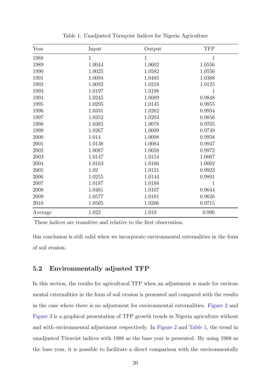| Year    | Input        | Output       | <b>TFP</b>   |
|---------|--------------|--------------|--------------|
| 1988    | $\mathbf{1}$ | $\mathbf{1}$ | $\mathbf{1}$ |
| 1989    | 1.0044       | 1.0602       | 1.0556       |
| 1990    | 1.0025       | 1.0582       | 1.0556       |
| 1991    | 1.0094       | 1.0485       | 1.0388       |
| 1992    | 1.0092       | 1.0218       | 1.0125       |
| 1993    | 1.0197       | 1.0198       | $\mathbf{1}$ |
| 1994    | 1.0245       | 1.0089       | 0.9848       |
| 1995    | 1.0295       | 1.0145       | 0.9855       |
| 1996    | 1.0331       | 1.0262       | 0.9934       |
| 1997    | 1.0352       | 1.0203       | 0.9856       |
| 1998    | 1.0385       | 1.0078       | 0.9705       |
| 1999    | 1.0267       | 1.0009       | 0.9749       |
| 2000    | 1.014        | 1.0098       | 0.9958       |
| 2001    | 1.0138       | 1.0084       | 0.9947       |
| 2002    | 1.0087       | 1.0058       | 0.9972       |
| 2003    | 1.0147       | 1.0154       | 1.0007       |
| 2004    | 1.0163       | 1.0166       | 1.0002       |
| 2005    | 1.02         | 1.0121       | 0.9923       |
| 2006    | 1.0255       | 1.0144       | 0.9891       |
| 2007    | 1.0187       | 1.0188       | $\mathbf{1}$ |
| 2008    | 1.0481       | 1.0107       | 0.9644       |
| 2009    | 1.0577       | 1.0181       | 0.9626       |
| 2010    | 1.0505       | 1.0206       | 0.9715       |
| Average | 1.022        | 1.019        | 0.996        |

Table 1: Unadjusted Törnqvist Indices for Nigeria Agriculture

These indices are transitive and relative to the first observation.

this conclusion is still valid when we incorporate environmental externalities in the form of soil erosion.

#### 5.2 Environmentally adjusted TFP

In this section, the results for agricultural TFP when an adjustment is made for environmental externalities in the form of soil erosion is presented and compared with the results in the case where there is no adjustment for environmental externalities. Figure 2 and Figure 3 is a graphical presentation of TFP growth trends in Nigeria agriculture without and with environmental adjustment respectively. In Figure 2 and Table 1, the trend in unadjusted Törnvist indices with 1988 as the base year is presented. By using 1988 as the base year, it is possible to facilitate a direct comparison with the environmentally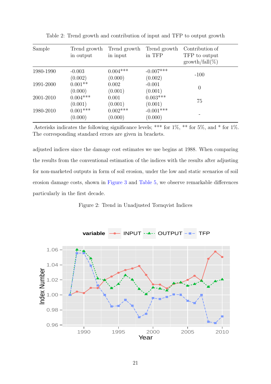| Sample    | Trend growth<br>in output | Trend growth<br>in input | Trend growth<br>in TFP | Contribution of<br>TFP to output<br>$growth/fall(\%)$ |
|-----------|---------------------------|--------------------------|------------------------|-------------------------------------------------------|
| 1980-1990 | $-0.003$<br>(0.002)       | $0.004***$<br>(0.000)    | $-0.007***$<br>(0.002) | $-100$                                                |
| 1991-2000 | $0.001**$<br>(0.000)      | 0.002<br>(0.001)         | $-0.001$<br>(0.001)    | $\theta$                                              |
| 2001-2010 | $0.004***$<br>(0.001)     | 0.001<br>(0.001)         | $0.003***$<br>(0.001)  | 75                                                    |
| 1980-2010 | $0.001***$<br>(0.000)     | $0.002***$<br>(0.000)    | $-0.001***$<br>(0.000) |                                                       |

Table 2: Trend growth and contribution of input and TFP to output growth

Asterisks indicates the following significance levels; \*\*\* for  $1\%$ , \*\* for  $5\%$ , and \* for  $1\%$ . The corresponding standard errors are given in brackets.

adjusted indices since the damage cost estimates we use begins at 1988. When comparing the results from the conventional estimation of the indices with the results after adjusting for non-marketed outputs in form of soil erosion, under the low and static scenarios of soil erosion damage costs, shown in Figure 3 and Table 5, we observe remarkable differences particularly in the first decade.



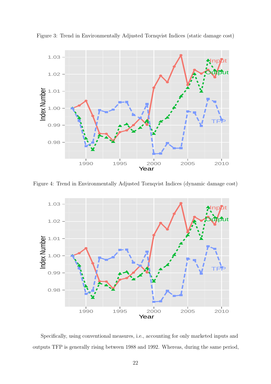

Figure 3: Trend in Environmentally Adjusted Tornqvist Indices (static damage cost)

Figure 4: Trend in Environmentally Adjusted Tornqvist Indices (dynamic damage cost)



Specifically, using conventional measures, i.e., accounting for only marketed inputs and outputs TFP is generally rising between 1988 and 1992. Whereas, during the same period,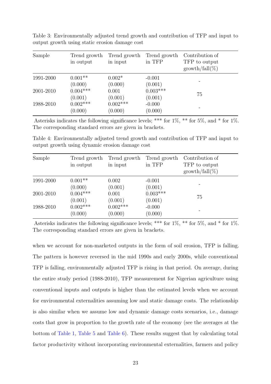| Sample    | Trend growth<br>in output | Trend growth<br>in input | Trend growth<br>in TFP | Contribution of<br>TFP to output<br>$growth/fall(\%)$ |
|-----------|---------------------------|--------------------------|------------------------|-------------------------------------------------------|
| 1991-2000 | $0.001**$<br>(0.000)      | $0.002*$<br>(0.000)      | $-0.001$<br>(0.001)    |                                                       |
| 2001-2010 | $0.004***$<br>(0.001)     | 0.001<br>(0.001)         | $0.003***$<br>(0.001)  | 75                                                    |
| 1988-2010 | $0.002***$<br>(0.000)     | $0.002***$<br>(0.000)    | $-0.000$<br>(0.000)    |                                                       |

Table 3: Environmentally adjusted trend growth and contribution of TFP and input to output growth using static erosion damage cost

Asterisks indicates the following significance levels; \*\*\* for  $1\%$ , \*\* for  $5\%$ , and \* for  $1\%$ . The corresponding standard errors are given in brackets.

Table 4: Environmentally adjusted trend growth and contribution of TFP and input to output growth using dynamic erosion damage cost

| Sample    | Trend growth<br>in output | Trend growth<br>in input | Trend growth<br>in TFP | Contribution of<br>TFP to output<br>$growth/fall(\%)$ |
|-----------|---------------------------|--------------------------|------------------------|-------------------------------------------------------|
| 1991-2000 | $0.001**$<br>(0.000)      | 0.002<br>(0.001)         | $-0.001$<br>(0.001)    |                                                       |
| 2001-2010 | $0.004***$<br>(0.001)     | 0.001<br>(0.001)         | $0.003***$<br>(0.001)  | 75                                                    |
| 1988-2010 | $0.002***$<br>(0.000)     | $0.002***$<br>(0.000)    | $-0.000$<br>(0.000)    |                                                       |

Asterisks indicates the following significance levels; \*\*\* for  $1\%$ , \*\* for  $5\%$ , and \* for  $1\%$ . The corresponding standard errors are given in brackets.

when we account for non-marketed outputs in the form of soil erosion, TFP is falling. The pattern is however reversed in the mid 1990s and early 2000s, while conventional TFP is falling, environmentally adjusted TFP is rising in that period. On average, during the entire study period (1988-2010), TFP measurement for Nigerian agriculture using conventional inputs and outputs is higher than the estimated levels when we account for environmental externalities assuming low and static damage costs. The relationship is also similar when we assume low and dynamic damage costs scenarios, i.e., damage costs that grow in proportion to the growth rate of the economy (see the averages at the bottom of Table 1, Table 5 and Table 6). These results suggest that by calculating total factor productivity without incorporating environmental externalities, farmers and policy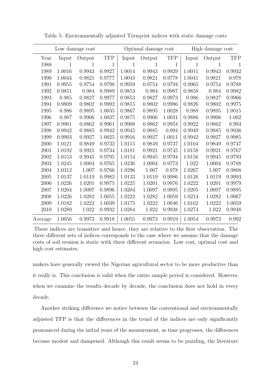| Low damage cost |        |        | Optimal damage cost |        |        | High damage cost |        |              |            |
|-----------------|--------|--------|---------------------|--------|--------|------------------|--------|--------------|------------|
| Year            | Input  | Output | <b>TFP</b>          | Input  | Output | <b>TFP</b>       | Input  | Output       | <b>TFP</b> |
| 1988            | 1      | 1      | 1                   | 1      | 1      | 1                | 1      | $\mathbf{1}$ |            |
| 1989            | 1.0016 | 0.9943 | 0.9927              | 1.0014 | 0.9943 | 0.9929           | 1.0011 | 0.9943       | 0.9932     |
| 1990            | 1.0044 | 0.9821 | 0.9777              | 1.0043 | 0.9821 | 0.9778           | 1.0041 | 0.9821       | 0.978      |
| 1991            | 0.9955 | 0.9754 | 0.9798              | 0.9959 | 0.9754 | 0.9794           | 0.9965 | 0.9754       | 0.9788     |
| 1992            | 0.9851 | 0.984  | 0.9989              | 0.9853 | 0.984  | 0.9987           | 0.9858 | 0.984        | 0.9982     |
| 1993            | 0.985  | 0.9827 | 0.9977              | 0.9853 | 0.9827 | 0.9973           | 0.986  | 0.9827       | 0.9966     |
| 1994            | 0.9809 | 0.9802 | 0.9992              | 0.9815 | 0.9802 | 0.9986           | 0.9826 | 0.9802       | 0.9975     |
| 1995            | 0.986  | 0.9895 | 1.0035              | 0.9867 | 0.9895 | 1.0028           | 0.988  | 0.9895       | 1.0015     |
| 1996            | 0.987  | 0.9906 | 1.0037              | 0.9875 | 0.9906 | 1.0031           | 0.9886 | 0.9906       | 1.002      |
| 1997            | 0.9901 | 0.9862 | 0.9961              | 0.9908 | 0.9862 | 0.9954           | 0.9922 | 0.9862       | 0.994      |
| 1998            | 0.9942 | 0.9885 | 0.9942              | 0.9945 | 0.9885 | 0.994            | 0.9949 | 0.9885       | 0.9936     |
| 1999            | 0.9903 | 0.9927 | 1.0025              | 0.9916 | 0.9927 | 1.0011           | 0.9942 | 0.9927       | 0.9985     |
| 2000            | 1.0121 | 0.9849 | 0.9732              | 1.0115 | 0.9849 | 0.9737           | 1.0104 | 0.9849       | 0.9747     |
| 2001            | 1.0192 | 0.9921 | 0.9734              | 1.0181 | 0.9921 | 0.9745           | 1.0158 | 0.9921       | 0.9767     |
| 2002            | 1.0153 | 0.9945 | 0.9795              | 1.0154 | 0.9945 | 0.9794           | 1.0156 | 0.9945       | 0.9793     |
| 2003            | 1.0245 | 1.0004 | 0.9765              | 1.0236 | 1.0004 | 0.9773           | 1.022  | 1.0004       | 0.9788     |
| 2004            | 1.0312 | 1.007  | 0.9766              | 1.0296 | 1.007  | 0.978            | 1.0267 | 1.007        | 0.9808     |
| 2005            | 1.0137 | 1.0119 | 0.9982              | 1.0133 | 1.0119 | 0.9986           | 1.0126 | 1.0119       | 0.9993     |
| 2006            | 1.0226 | 1.0201 | 0.9975              | 1.0225 | 1.0201 | 0.9976           | 1.0222 | 1.0201       | 0.9979     |
| 2007            | 1.0204 | 1.0097 | 0.9896              | 1.0204 | 1.0097 | 0.9895           | 1.0205 | 1.0097       | 0.9895     |
| 2008            | 1.0226 | 1.0282 | 1.0055              | 1.0222 | 1.0282 | 1.0059           | 1.0214 | 1.0282       | 1.0067     |
| 2009            | 1.0182 | 1.0222 | 1.0039              | 1.0175 | 1.0222 | 1.0046           | 1.0162 | 1.0222       | 1.0059     |
| 2010            | 1.0289 | 1.022  | 0.9932              | 1.0284 | 1.022  | 0.9938           | 1.0274 | 1.022        | 0.9948     |
| Average         | 1.0056 | 0.9973 | 0.9918              | 1.0055 | 0.9973 | 0.9919           | 1.0054 | 0.9973       | 0.992      |

Table 5: Environmentally adjusted Törnqvist indices with static damage costs

These indices are transitive and hence, they are relative to the first observation. The three different sets of indices corresponds to the case where we assume that the damage costs of soil erosion is static with three different scenarios. Low cost, optimal cost and high cost estimates.

makers have generally viewed the Nigerian agricultural sector to be more productive than it really is. This conclusion is valid when the entire sample period is considered. However, when we examine the results decade by decade, the conclusion does not hold in every decade.

Another striking difference we notice between the conventional and environmentally adjusted TFP is that the differences in the trend of the indices are only significantly pronounced during the initial years of the measurement, as time progresses, the differences become modest and dampened. Although this result seems to be puzzling, the literature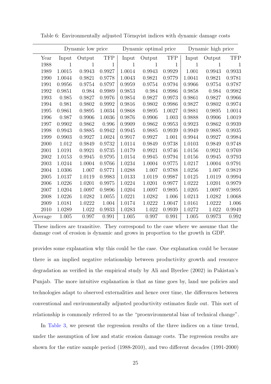|         | Dynamic low price |        |            | Dynamic optimal price |        |            | Dynamic high price |              |            |
|---------|-------------------|--------|------------|-----------------------|--------|------------|--------------------|--------------|------------|
| Year    | Input             | Output | <b>TFP</b> | Input                 | Output | <b>TFP</b> | Input              | Output       | <b>TFP</b> |
| 1988    | 1                 | 1      | 1          | 1                     | 1      | 1          | $\mathbf{1}$       | $\mathbf{1}$ |            |
| 1989    | 1.0015            | 0.9943 | 0.9927     | 1.0014                | 0.9943 | 0.9929     | 1.001              | 0.9943       | 0.9933     |
| 1990    | 1.0044            | 0.9821 | 0.9778     | 1.0043                | 0.9821 | 0.9779     | 1.0041             | 0.9821       | 0.9781     |
| 1991    | 0.9956            | 0.9754 | 0.9797     | 0.9959                | 0.9754 | 0.9794     | $0.9966\,$         | 0.9754       | 0.9787     |
| 1992    | 0.9851            | 0.984  | 0.9989     | 0.9853                | 0.984  | 0.9986     | 0.9858             | 0.984        | 0.9982     |
| 1993    | 0.985             | 0.9827 | 0.9976     | 0.9854                | 0.9827 | 0.9973     | 0.9861             | 0.9827       | 0.9966     |
| 1994    | 0.981             | 0.9802 | 0.9992     | 0.9816                | 0.9802 | 0.9986     | 0.9827             | 0.9802       | 0.9974     |
| 1995    | 0.9861            | 0.9895 | 1.0034     | 0.9868                | 0.9895 | 1.0027     | 0.9881             | 0.9895       | 1.0014     |
| 1996    | 0.987             | 0.9906 | 1.0036     | 0.9876                | 0.9906 | 1.003      | 0.9888             | 0.9906       | 1.0019     |
| 1997    | 0.9902            | 0.9862 | 0.996      | 0.9909                | 0.9862 | 0.9953     | 0.9923             | 0.9862       | 0.9939     |
| 1998    | 0.9943            | 0.9885 | 0.9942     | 0.9945                | 0.9885 | 0.9939     | 0.9949             | 0.9885       | 0.9935     |
| 1999    | 0.9903            | 0.9927 | 1.0024     | 0.9917                | 0.9927 | 1.001      | 0.9944             | 0.9927       | 0.9984     |
| 2000    | 1.012             | 0.9849 | 0.9732     | 1.0114                | 0.9849 | 0.9738     | 1.0103             | 0.9849       | 0.9748     |
| 2001    | 1.0191            | 0.9921 | 0.9735     | 1.0179                | 0.9921 | 0.9746     | 1.0156             | 0.9921       | 0.9769     |
| 2002    | 1.0153            | 0.9945 | 0.9795     | 1.0154                | 0.9945 | 0.9794     | 1.0156             | 0.9945       | 0.9793     |
| 2003    | 1.0244            | 1.0004 | 0.9766     | 1.0234                | 1.0004 | 0.9775     | 1.0217             | 1.0004       | 0.9791     |
| 2004    | 1.0306            | 1.007  | 0.9771     | 1.0288                | 1.007  | 0.9788     | 1.0256             | 1.007        | 0.9819     |
| 2005    | 1.0137            | 1.0119 | 0.9983     | 1.0133                | 1.0119 | 0.9987     | 1.0125             | 1.0119       | 0.9994     |
| 2006    | 1.0226            | 1.0201 | 0.9975     | 1.0224                | 1.0201 | 0.9977     | 1.0222             | 1.0201       | 0.9979     |
| 2007    | 1.0204            | 1.0097 | 0.9896     | 1.0204                | 1.0097 | 0.9895     | 1.0205             | 1.0097       | 0.9895     |
| 2008    | 1.0226            | 1.0282 | 1.0055     | 1.0221                | 1.0282 | 1.006      | 1.0213             | 1.0282       | 1.0068     |
| 2009    | 1.0181            | 1.0222 | 1.004      | 1.0174                | 1.0222 | 1.0047     | 1.0161             | 1.0222       | 1.006      |
| 2010    | 1.0289            | 1.022  | 0.9933     | 1.0283                | 1.022  | 0.9939     | 1.0272             | 1.022        | 0.9949     |
| Average | 1.005             | 0.997  | 0.991      | 1.005                 | 0.997  | 0.991      | $1.005\,$          | 0.9973       | 0.992      |

Table 6: Environmentally adjusted Törnqvist indices with dynamic damage costs

These indices are transitive. They correspond to the case where we assume that the damage cost of erosion is dynamic and grows in proportion to the growth in GDP.

provides some explanation why this could be the case. One explanation could be because there is an implied negative relationship between productivity growth and resource degradation as verified in the empirical study by Ali and Byerlee (2002) in Pakistan's Punjab. The more intuitive explanation is that as time goes by, land use policies and technologies adapt to observed externalities and hence over time, the differences between conventional and environmentally adjusted productivity estimates fizzle out. This sort of relationship is commonly referred to as the "proenvironmental bias of technical change".

In Table 3, we present the regression results of the three indices on a time trend, under the assumption of low and static erosion damage costs. The regression results are shown for the entire sample period (1988-2010), and two different decades (1991-2000)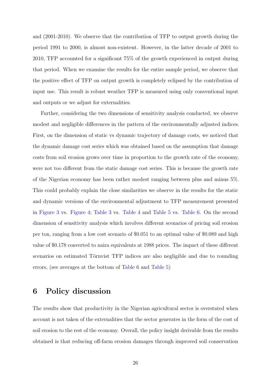and (2001-2010). We observe that the contribution of TFP to output growth during the period 1991 to 2000, is almost non-existent. However, in the latter decade of 2001 to 2010, TFP accounted for a significant 75% of the growth experienced in output during that period. When we examine the results for the entire sample period, we observe that the positive effect of TFP on output growth is completely eclipsed by the contribution of input use. This result is robust weather TFP is measured using only conventional input and outputs or we adjust for externalities.

Further, considering the two dimensions of sensitivity analysis conducted, we observe modest and negligible differences in the pattern of the environmentally adjusted indices. First, on the dimension of static vs dynamic trajectory of damage costs, we noticed that the dynamic damage cost series which was obtained based on the assumption that damage costs from soil erosion grows over time in proportion to the growth rate of the economy, were not too different from the static damage cost series. This is because the growth rate of the Nigerian economy has been rather modest ranging between plus and minus 5%. This could probably explain the close similarities we observe in the results for the static and dynamic versions of the environmental adjustment to TFP measurement presented in Figure 3 vs. Figure 4; Table 3 vs. Table 4 and Table 5 vs. Table 6. On the second dimension of sensitivity analysis which involves different scenarios of pricing soil erosion per ton, ranging from a low cost scenario of \$0.051 to an optimal value of \$0.089 and high value of \$0.178 converted to naira equivalents at 1988 prices. The impact of these different scenarios on estimated Törnvist TFP indices are also negligible and due to rounding errors, (see averages at the bottom of Table 6 and Table 5)

### 6 Policy discussion

The results show that productivity in the Nigerian agricultural sector is overstated when account is not taken of the externalities that the sector generates in the form of the cost of soil erosion to the rest of the economy. Overall, the policy insight derivable from the results obtained is that reducing off-farm erosion damages through improved soil conservation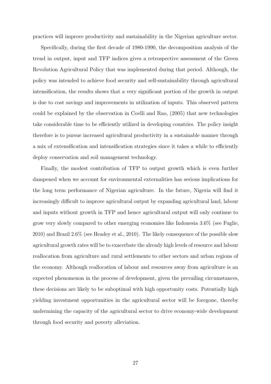practices will improve productivity and sustainability in the Nigerian agriculture sector.

Specifically, during the first decade of 1980-1990, the decomposition analysis of the trend in output, input and TFP indices gives a retrospective assessment of the Green Revolution Agricultural Policy that was implemented during that period. Although, the policy was intended to achieve food security and self-sustainability through agricultural intensification, the results shows that a very significant portion of the growth in output is due to cost savings and improvements in utilization of inputs. This observed pattern could be explained by the observation in Coelli and Rao, (2005) that new technologies take considerable time to be efficiently utilized in developing countries. The policy insight therefore is to pursue increased agricultural productivity in a sustainable manner through a mix of extensification and intensification strategies since it takes a while to efficiently deploy conservation and soil management technology.

Finally, the modest contribution of TFP to output growth which is even further dampened when we account for environmental externalities has serious implications for the long term performance of Nigerian agriculture. In the future, Nigeria will find it increasingly difficult to improve agricultural output by expanding agricultural land, labour and inputs without growth in TFP and hence agricultural output will only continue to grow very slowly compared to other emerging economies like Indonesia 3.6% (see Fuglie, 2010) and Brazil 2.6% (see Headey et al., 2010). The likely consequence of the possible slow agricultural growth rates will be to exacerbate the already high levels of resource and labour reallocation from agriculture and rural settlements to other sectors and urban regions of the economy. Although reallocation of labour and resources away from agriculture is an expected phenomenon in the process of development, given the prevailing circumstances, these decisions are likely to be suboptimal with high opportunity costs. Potentially high yielding investment opportunities in the agricultural sector will be foregone, thereby undermining the capacity of the agricultural sector to drive economy-wide development through food security and poverty alleviation.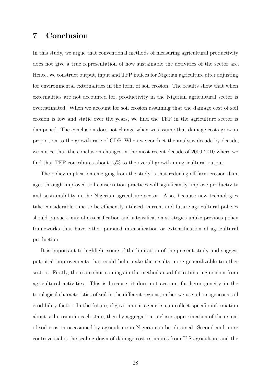# 7 Conclusion

In this study, we argue that conventional methods of measuring agricultural productivity does not give a true representation of how sustainable the activities of the sector are. Hence, we construct output, input and TFP indices for Nigerian agriculture after adjusting for environmental externalities in the form of soil erosion. The results show that when externalities are not accounted for, productivity in the Nigerian agricultural sector is overestimated. When we account for soil erosion assuming that the damage cost of soil erosion is low and static over the years, we find the TFP in the agriculture sector is dampened. The conclusion does not change when we assume that damage costs grow in proportion to the growth rate of GDP. When we conduct the analysis decade by decade, we notice that the conclusion changes in the most recent decade of 2000-2010 where we find that TFP contributes about 75% to the overall growth in agricultural output.

The policy implication emerging from the study is that reducing off-farm erosion damages through improved soil conservation practices will significantly improve productivity and sustainability in the Nigerian agriculture sector. Also, because new technologies take considerable time to be efficiently utilized, current and future agricultural policies should pursue a mix of extensification and intensification strategies unlike previous policy frameworks that have either pursued intensification or extensification of agricultural production.

It is important to highlight some of the limitation of the present study and suggest potential improvements that could help make the results more generalizable to other sectors. Firstly, there are shortcomings in the methods used for estimating erosion from agricultural activities. This is because, it does not account for heterogeneity in the topological characteristics of soil in the different regions, rather we use a homogeneous soil erodibility factor. In the future, if government agencies can collect specific information about soil erosion in each state, then by aggregation, a closer approximation of the extent of soil erosion occasioned by agriculture in Nigeria can be obtained. Second and more controversial is the scaling down of damage cost estimates from U.S agriculture and the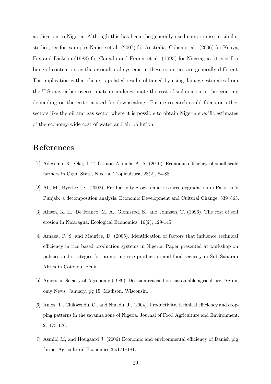application to Nigeria. Although this has been the generally used compromise in similar studies, see for examples Nanere et al. (2007) for Australia, Cohen et al., (2006) for Kenya, Fox and Dickson (1988) for Canada and Franco et al. (1993) for Nicaragua, it is still a bone of contention as the agricultural systems in these countries are generally different. The implication is that the extrapolated results obtained by using damage estimates from the U.S may either overestimate or underestimate the cost of soil erosion in the economy depending on the criteria used for downscaling. Future research could focus on other sectors like the oil and gas sector where it is possible to obtain Nigeria specific estimates of the economy-wide cost of water and air pollution.

# References

- [1] Adeyemo, R., Oke, J. T. O., and Akinola, A. A. (2010). Economic efficiency of small scale farmers in Ogun State, Nigeria. Tropicultura, 28(2), 84-88.
- [2] Ali, M., Byerlee, D., (2002). Productivity growth and resource degradation in Pakistan's Punjab: a decomposition analysis. Economic Development and Cultural Change, 839–863.
- [3] Alfsen, K. H., De Franco, M. A., Glomsrød, S., and Johnsen, T. (1996). The cost of soil erosion in Nicaragua. Ecological Economics, 16(2), 129-145.
- [4] Amaza, P. S. and Maurice, D. (2005). Identification of factors that influence technical efficiency in rice based production systems in Nigeria. Paper presented at workshop on policies and strategies for promoting rice production and food security in Sub-Saharan Africa in Cotonou, Benin.
- [5] American Society of Agronomy (1989). Decision reached on sustainable agriculture. Agronomy News. January, pg 15, Madison, Wisconsin.
- [6] Amos, T., Chikwendu, O., and Nmadu, J., (2004). Productivity, technical efficiency and cropping patterns in the savanna zone of Nigeria. Journal of Food Agriculture and Environment. 2: 173-176.
- [7] Asmild M, and Hougaard J. (2006) Economic and environmental efficiency of Danish pig farms. Agricultural Economics 35:171–181.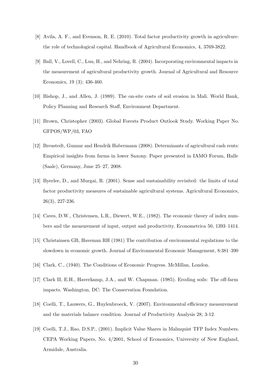- [8] Avila, A. F., and Evenson, R. E. (2010). Total factor productivity growth in agriculture: the role of technological capital. Handbook of Agricultural Economics, 4, 3769-3822.
- [9] Ball, V., Lovell, C., Luu, H., and Nehring, R. (2004). Incorporating environmental impacts in the measurement of agricultural productivity growth. Journal of Agricultural and Resource Economics, 19 (3); 436-460.
- [10] Bishop, J., and Allen, J. (1989). The on-site costs of soil erosion in Mali. World Bank, Policy Planning and Research Staff, Environment Department.
- [11] Brown, Christopher (2003). Global Forests Product Outlook Study. Working Paper No. GFPOS/WP/03, FAO
- [12] Breustedt, Gunnar and Hendrik Habermann (2008). Determinants of agricultural cash rents: Empirical insights from farms in lower Saxony. Paper presented in IAMO Forum, Halle (Saale), Germany, June 25–27, 2008.
- [13] Byerlee, D., and Murgai, R. (2001). Sense and sustainability revisited: the limits of total factor productivity measures of sustainable agricultural systems. Agricultural Economics, 26(3), 227-236.
- [14] Caves, D.W., Christensen, L.R., Diewert, W.E., (1982). The economic theory of index numbers and the measurement of input, output and productivity. Econometrica 50, 1393–1414.
- [15] Christainsen GB, Haveman RH (1981) The contribution of environmental regulations to the slowdown in economic growth. Journal of Environmental Economic Management, 8:381–390
- [16] Clark, C., (1940). The Conditions of Economic Progress. McMillan, London.
- [17] Clark II, E.H., Haverkamp, J.A., and W. Chapman. (1985). Eroding soils: The off-farm impacts. Washington, DC: The Conservation Foundation.
- [18] Coelli, T., Lauwers, G., Huylenbroeck, V. (2007). Environmental efficiency measurement and the materials balance condition. Journal of Productivity Analysis 28; 3-12.
- [19] Coelli, T.J., Rao, D.S.P., (2001). Implicit Value Shares in Malmquist TFP Index Numbers. CEPA Working Papers, No. 4/2001, School of Economics, University of New England, Armidale, Australia.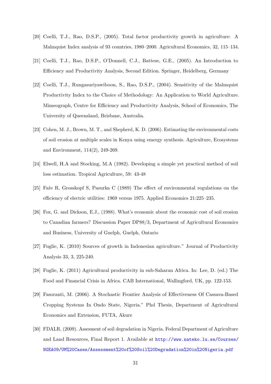- [20] Coelli, T.J., Rao, D.S.P., (2005). Total factor productivity growth in agriculture: A Malmquist Index analysis of 93 countries, 1980–2000. Agricultural Economics, 32, 115–134.
- [21] Coelli, T.J., Rao, D.S.P., O'Donnell, C.J., Battese, G.E., (2005). An Introduction to Efficiency and Productivity Analysis, Second Edition. Springer, Heidelberg, Germany
- [22] Coelli, T.J., Rungasuriyawiboon, S., Rao, D.S.P., (2004). Sensitivity of the Malmquist Productivity Index to the Choice of Methodology: An Application to World Agriculture. Mimeograph, Centre for Efficiency and Productivity Analysis, School of Economics, The University of Queensland, Brisbane, Australia.
- [23] Cohen, M. J., Brown, M. T., and Shepherd, K. D. (2006). Estimating the environmental costs of soil erosion at multiple scales in Kenya using emergy synthesis. Agriculture, Ecosystems and Environment, 114(2), 249-269.
- [24] Elwell, H.A and Stocking, M.A (1982). Developing a simple yet practical method of soil loss estimation. Tropical Agriculture, 59: 43-48
- [25] Faˆre R, Grosskopf S, Pasurka C (1989) The effect of environmental regulations on the efficiency of electric utilities: 1969 versus 1975. Applied Economics 21:225–235.
- [26] Fox, G. and Dickson, E.J., (1988). What's economic about the economic cost of soil erosion to Canadian farmers? Discussion Paper DP88/3, Department of Agricultural Economics and Business, University of Guelph, Guelph, Ontario
- [27] Fuglie, K. (2010) Sources of growth in Indonesian agriculture." Journal of Productivity Analysis 33, 3, 225-240.
- [28] Fuglie, K. (2011) Agricultural productivity in sub-Saharan Africa. In: Lee, D. (ed.) The Food and Financial Crisis in Africa. CAB International, Wallingford, UK, pp. 122-153.
- [29] Fasoranti, M. (2006). A Stochastic Frontier Analysis of Effectiveness Of Cassava-Based Cropping Systems In Ondo State, Nigeria." Phd Thesis, Department of Agricultural Economics and Extension, FUTA, Akure
- [30] FDALR, (2009). Assesment of soil degradation in Nigeria. Federal Department of Agriculture and Land Resources, Final Report 1. Available at http://www.nateko.lu.se/Courses/ NGEA09/UM%20Cases/Assessment%20of%20Soil%20Degradation%20in%20Nigeria.pdf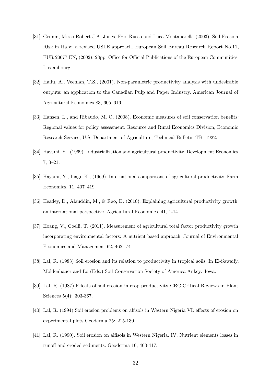- [31] Grimm, Mirco Robert J.A. Jones, Ezio Rusco and Luca Montanarella (2003). Soil Erosion Risk in Italy: a revised USLE approach. European Soil Bureau Research Report No.11, EUR 20677 EN, (2002), 28pp. Office for Official Publications of the European Communities, Luxembourg.
- [32] Hailu, A., Veeman, T.S., (2001). Non-parametric productivity analysis with undesirable outputs: an application to the Canadian Pulp and Paper Industry. American Journal of Agricultural Economics 83, 605–616.
- [33] Hansen, L., and Ribaudo, M. O. (2008). Economic measures of soil conservation benefits: Regional values for policy assessment. Resource and Rural Economics Division, Economic Research Service, U.S. Department of Agriculture, Technical Bulletin TB- 1922.
- [34] Hayami, Y., (1969). Industrialization and agricultural productivity. Development Economics 7, 3–21.
- [35] Hayami, Y., Inagi, K., (1969). International comparisons of agricultural productivity. Farm Economics. 11, 407–419
- [36] Headey, D., Alauddin, M., & Rao, D. (2010). Explaining agricultural productivity growth: an international perspective. Agricultural Economics, 41, 1-14.
- [37] Hoang, V., Coelli, T. (2011). Measurement of agricultural total factor productivity growth incorporating environmental factors: A nutrient based approach. Journal of Environmental Economics and Management 62, 462- 74
- [38] Lal, R. (1983) Soil erosion and its relation to productivity in tropical soils. In El-Sawaify, Moldenhauer and Lo (Eds.) Soil Conservation Society of America Ankey: Iowa.
- [39] Lal, R. (1987) Effects of soil erosion in crop productivity CRC Critical Reviews in Plant Sciences 5(4): 303-367.
- [40] Lal, R. (1994) Soil erosion problems on alfisols in Western Nigeria VI: effects of erosion on experimental plots Geoderma 25: 215-130.
- [41] Lal, R. (1990). Soil erosion on alfisols in Western Nigeria. IV. Nutrient elements losses in runoff and eroded sediments. Geoderma 16, 403-417.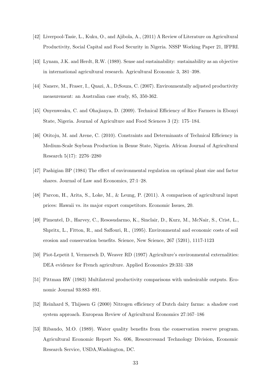- [42] Liverpool-Tasie, L., Kuku, O., and Ajibola, A., (2011) A Review of Literature on Agricultural Productivity, Social Capital and Food Security in Nigeria. NSSP Working Paper 21, IFPRI.
- [43] Lynam, J.K. and Herdt, R.W. (1989). Sense and sustainability: sustainability as an objective in international agricultural research. Agricultural Economic 3, 381–398.
- [44] Nanere, M., Fraser, I., Quazi, A., D;Souza, C. (2007). Environmentally adjusted productivity measurement: an Australian case study, 85, 350-362.
- [45] Onyenweaku, C. and Ohajianya, D. (2009). Technical Efficiency of Rice Farmers in Ebonyi State, Nigeria. Journal of Agriculture and Food Sciences 3 (2): 175–184.
- [46] Otitoju, M. and Arene, C. (2010). Constraints and Determinants of Technical Efficiency in Medium-Scale Soybean Production in Benue State, Nigeria. African Journal of Agricultural Research 5(17): 2276–2280
- [47] Pashigian BP (1984) The effect of environmental regulation on optimal plant size and factor shares. Journal of Law and Economics, 27:1–28.
- [48] Parcon, H., Arita, S., Loke, M., & Leung, P. (2011). A comparison of agricultural input prices: Hawaii vs. its major export competitors. Economic Issues, 20.
- [49] Pimentel, D., Harvey, C., Resosudarmo, K., Sinclair, D., Kurz, M., McNair, S., Crist, L., Shpritx, L., Fitton, R., and Saffouri, R., (1995). Environmental and economic costs of soil erosion and conservation benefits. Science, New Science, 267 (5201), 1117-1123
- [50] Piot-Lepetit I, Vermersch D, Weaver RD (1997) Agriculture's environmental externalities: DEA evidence for French agriculture. Applied Economics 29:331–338
- [51] Pittman RW (1983) Multilateral productivity comparisons with undesirable outputs. Economic Journal 93:883–891.
- [52] Reinhard S, Thijssen G (2000) Nitrogen efficiency of Dutch dairy farms: a shadow cost system approach. European Review of Agricultural Economics 27:167–186
- [53] Ribaudo, M.O. (1989). Water quality benefits from the conservation reserve program. Agricultural Economic Report No. 606, Resourcesand Technology Division, Economic Research Service, USDA,Washington, DC.